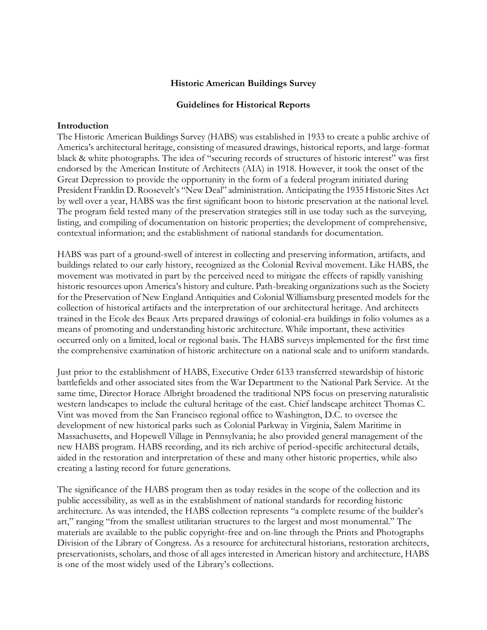## **Historic American Buildings Survey**

### **Guidelines for Historical Reports**

#### **Introduction**

The Historic American Buildings Survey (HABS) was established in 1933 to create a public archive of America"s architectural heritage, consisting of measured drawings, historical reports, and large-format black & white photographs. The idea of "securing records of structures of historic interest" was first endorsed by the American Institute of Architects (AIA) in 1918. However, it took the onset of the Great Depression to provide the opportunity in the form of a federal program initiated during President Franklin D. Roosevelt's "New Deal" administration. Anticipating the 1935 Historic Sites Act by well over a year, HABS was the first significant boon to historic preservation at the national level. The program field tested many of the preservation strategies still in use today such as the surveying, listing, and compiling of documentation on historic properties; the development of comprehensive, contextual information; and the establishment of national standards for documentation.

HABS was part of a ground-swell of interest in collecting and preserving information, artifacts, and buildings related to our early history, recognized as the Colonial Revival movement. Like HABS, the movement was motivated in part by the perceived need to mitigate the effects of rapidly vanishing historic resources upon America's history and culture. Path-breaking organizations such as the Society for the Preservation of New England Antiquities and Colonial Williamsburg presented models for the collection of historical artifacts and the interpretation of our architectural heritage. And architects trained in the Ecole des Beaux Arts prepared drawings of colonial-era buildings in folio volumes as a means of promoting and understanding historic architecture. While important, these activities occurred only on a limited, local or regional basis. The HABS surveys implemented for the first time the comprehensive examination of historic architecture on a national scale and to uniform standards.

Just prior to the establishment of HABS, Executive Order 6133 transferred stewardship of historic battlefields and other associated sites from the War Department to the National Park Service. At the same time, Director Horace Albright broadened the traditional NPS focus on preserving naturalistic western landscapes to include the cultural heritage of the east. Chief landscape architect Thomas C. Vint was moved from the San Francisco regional office to Washington, D.C. to oversee the development of new historical parks such as Colonial Parkway in Virginia, Salem Maritime in Massachusetts, and Hopewell Village in Pennsylvania; he also provided general management of the new HABS program. HABS recording, and its rich archive of period-specific architectural details, aided in the restoration and interpretation of these and many other historic properties, while also creating a lasting record for future generations.

The significance of the HABS program then as today resides in the scope of the collection and its public accessibility, as well as in the establishment of national standards for recording historic architecture. As was intended, the HABS collection represents "a complete resume of the builder"s art," ranging "from the smallest utilitarian structures to the largest and most monumental." The materials are available to the public copyright-free and on-line through the Prints and Photographs Division of the Library of Congress. As a resource for architectural historians, restoration architects, preservationists, scholars, and those of all ages interested in American history and architecture, HABS is one of the most widely used of the Library"s collections.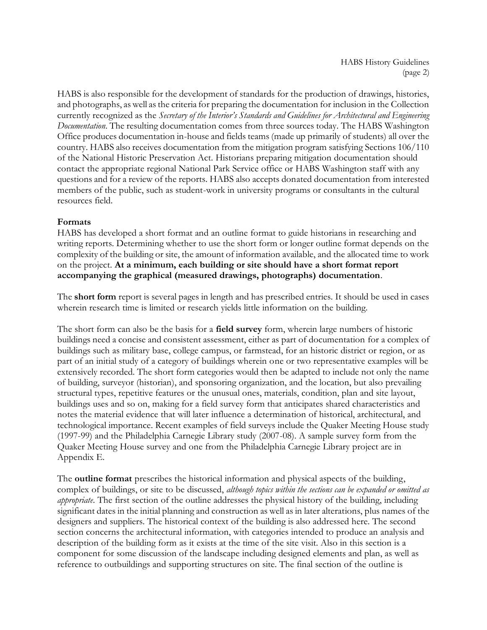HABS is also responsible for the development of standards for the production of drawings, histories, and photographs, as well as the criteria for preparing the documentation for inclusion in the Collection currently recognized as the *Secretary of the Interior's Standards and Guidelines for Architectural and Engineering Documentation*. The resulting documentation comes from three sources today. The HABS Washington Office produces documentation in-house and fields teams (made up primarily of students) all over the country. HABS also receives documentation from the mitigation program satisfying Sections 106/110 of the National Historic Preservation Act. Historians preparing mitigation documentation should contact the appropriate regional National Park Service office or HABS Washington staff with any questions and for a review of the reports. HABS also accepts donated documentation from interested members of the public, such as student-work in university programs or consultants in the cultural resources field.

# **Formats**

HABS has developed a short format and an outline format to guide historians in researching and writing reports. Determining whether to use the short form or longer outline format depends on the complexity of the building or site, the amount of information available, and the allocated time to work on the project. **At a minimum, each building or site should have a short format report accompanying the graphical (measured drawings, photographs) documentation**.

The **short form** report is several pages in length and has prescribed entries. It should be used in cases wherein research time is limited or research yields little information on the building.

The short form can also be the basis for a **field survey** form, wherein large numbers of historic buildings need a concise and consistent assessment, either as part of documentation for a complex of buildings such as military base, college campus, or farmstead, for an historic district or region, or as part of an initial study of a category of buildings wherein one or two representative examples will be extensively recorded. The short form categories would then be adapted to include not only the name of building, surveyor (historian), and sponsoring organization, and the location, but also prevailing structural types, repetitive features or the unusual ones, materials, condition, plan and site layout, buildings uses and so on, making for a field survey form that anticipates shared characteristics and notes the material evidence that will later influence a determination of historical, architectural, and technological importance. Recent examples of field surveys include the Quaker Meeting House study (1997-99) and the Philadelphia Carnegie Library study (2007-08). A sample survey form from the Quaker Meeting House survey and one from the Philadelphia Carnegie Library project are in Appendix E.

The **outline format** prescribes the historical information and physical aspects of the building, complex of buildings, or site to be discussed, *although topics within the sections can be expanded or omitted as appropriate*. The first section of the outline addresses the physical history of the building, including significant dates in the initial planning and construction as well as in later alterations, plus names of the designers and suppliers. The historical context of the building is also addressed here. The second section concerns the architectural information, with categories intended to produce an analysis and description of the building form as it exists at the time of the site visit. Also in this section is a component for some discussion of the landscape including designed elements and plan, as well as reference to outbuildings and supporting structures on site. The final section of the outline is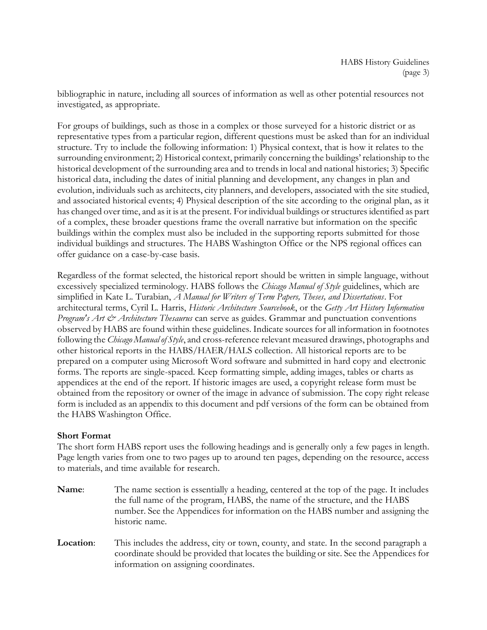bibliographic in nature, including all sources of information as well as other potential resources not investigated, as appropriate.

For groups of buildings, such as those in a complex or those surveyed for a historic district or as representative types from a particular region, different questions must be asked than for an individual structure. Try to include the following information: 1) Physical context, that is how it relates to the surrounding environment; 2) Historical context, primarily concerning the buildings" relationship to the historical development of the surrounding area and to trends in local and national histories; 3) Specific historical data, including the dates of initial planning and development, any changes in plan and evolution, individuals such as architects, city planners, and developers, associated with the site studied, and associated historical events; 4) Physical description of the site according to the original plan, as it has changed over time, and as it is at the present. For individual buildings or structures identified as part of a complex, these broader questions frame the overall narrative but information on the specific buildings within the complex must also be included in the supporting reports submitted for those individual buildings and structures. The HABS Washington Office or the NPS regional offices can offer guidance on a case-by-case basis.

Regardless of the format selected, the historical report should be written in simple language, without excessively specialized terminology. HABS follows the *Chicago Manual of Style* guidelines, which are simplified in Kate L. Turabian, *A Manual for Writers of Term Papers, Theses, and Dissertations*. For architectural terms, Cyril L. Harris, *Historic Architecture Sourcebook*, or the *Getty Art History Information Program's Art & Architecture Thesaurus* can serve as guides. Grammar and punctuation conventions observed by HABS are found within these guidelines. Indicate sources for all information in footnotes following the *Chicago Manual of Style*, and cross-reference relevant measured drawings, photographs and other historical reports in the HABS/HAER/HALS collection. All historical reports are to be prepared on a computer using Microsoft Word software and submitted in hard copy and electronic forms. The reports are single-spaced. Keep formatting simple, adding images, tables or charts as appendices at the end of the report. If historic images are used, a copyright release form must be obtained from the repository or owner of the image in advance of submission. The copy right release form is included as an appendix to this document and pdf versions of the form can be obtained from the HABS Washington Office.

# **Short Format**

The short form HABS report uses the following headings and is generally only a few pages in length. Page length varies from one to two pages up to around ten pages, depending on the resource, access to materials, and time available for research.

- **Name**: The name section is essentially a heading, centered at the top of the page. It includes the full name of the program, HABS, the name of the structure, and the HABS number. See the Appendices for information on the HABS number and assigning the historic name.
- **Location**: This includes the address, city or town, county, and state. In the second paragraph a coordinate should be provided that locates the building or site. See the Appendices for information on assigning coordinates.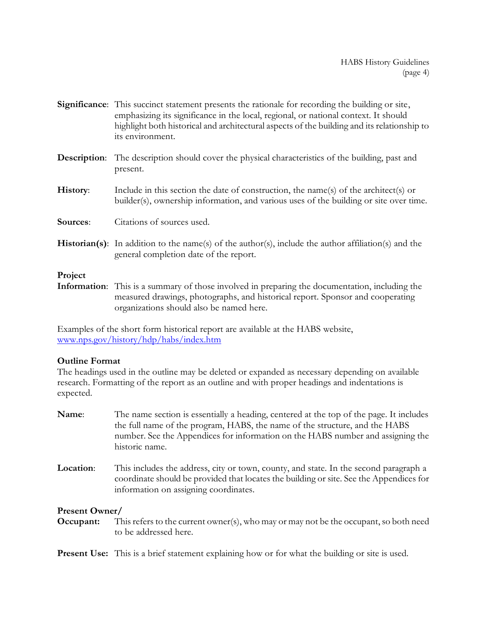- **Significance**: This succinct statement presents the rationale for recording the building or site, emphasizing its significance in the local, regional, or national context. It should highlight both historical and architectural aspects of the building and its relationship to its environment.
- **Description**: The description should cover the physical characteristics of the building, past and present.
- **History**: Include in this section the date of construction, the name(s) of the architect(s) or builder(s), ownership information, and various uses of the building or site over time.
- **Sources**: Citations of sources used.
- **Historian(s)**: In addition to the name(s) of the author(s), include the author affiliation(s) and the general completion date of the report.

### **Project**

**Information**: This is a summary of those involved in preparing the documentation, including the measured drawings, photographs, and historical report. Sponsor and cooperating organizations should also be named here.

Examples of the short form historical report are available at the HABS website, [www.nps.gov/history/hdp/habs/index.htm](http://www.nps.gov/history/hdp/habs/index.htm)

# **Outline Format**

The headings used in the outline may be deleted or expanded as necessary depending on available research. Formatting of the report as an outline and with proper headings and indentations is expected.

- **Name**: The name section is essentially a heading, centered at the top of the page. It includes the full name of the program, HABS, the name of the structure, and the HABS number. See the Appendices for information on the HABS number and assigning the historic name.
- **Location**: This includes the address, city or town, county, and state. In the second paragraph a coordinate should be provided that locates the building or site. See the Appendices for information on assigning coordinates.

# **Present Owner/**

**Occupant:** This refers to the current owner(s), who may or may not be the occupant, so both need to be addressed here.

**Present Use:** This is a brief statement explaining how or for what the building or site is used.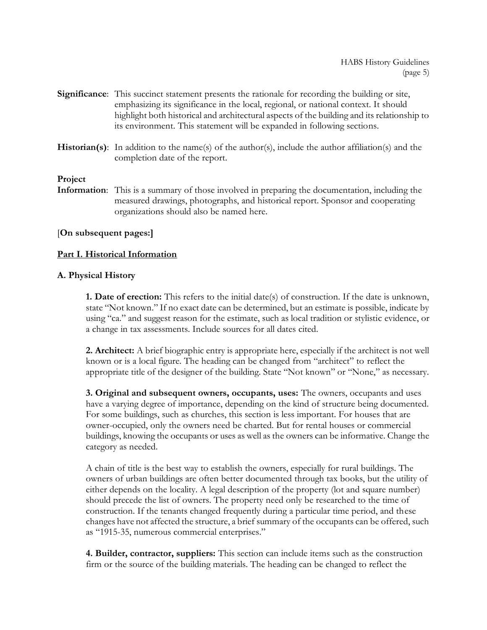- **Significance**: This succinct statement presents the rationale for recording the building or site, emphasizing its significance in the local, regional, or national context. It should highlight both historical and architectural aspects of the building and its relationship to its environment. This statement will be expanded in following sections.
- **Historian(s)**: In addition to the name(s) of the author(s), include the author affiliation(s) and the completion date of the report.

# **Project**

**Information**: This is a summary of those involved in preparing the documentation, including the measured drawings, photographs, and historical report. Sponsor and cooperating organizations should also be named here.

# [**On subsequent pages:]**

## **Part I. Historical Information**

## **A. Physical History**

**1. Date of erection:** This refers to the initial date(s) of construction. If the date is unknown, state "Not known." If no exact date can be determined, but an estimate is possible, indicate by using "ca." and suggest reason for the estimate, such as local tradition or stylistic evidence, or a change in tax assessments. Include sources for all dates cited.

**2. Architect:** A brief biographic entry is appropriate here, especially if the architect is not well known or is a local figure. The heading can be changed from "architect" to reflect the appropriate title of the designer of the building. State "Not known" or "None," as necessary.

**3. Original and subsequent owners, occupants, uses:** The owners, occupants and uses have a varying degree of importance, depending on the kind of structure being documented. For some buildings, such as churches, this section is less important. For houses that are owner-occupied, only the owners need be charted. But for rental houses or commercial buildings, knowing the occupants or uses as well as the owners can be informative. Change the category as needed.

A chain of title is the best way to establish the owners, especially for rural buildings. The owners of urban buildings are often better documented through tax books, but the utility of either depends on the locality. A legal description of the property (lot and square number) should precede the list of owners. The property need only be researched to the time of construction. If the tenants changed frequently during a particular time period, and these changes have not affected the structure, a brief summary of the occupants can be offered, such as "1915-35, numerous commercial enterprises."

**4. Builder, contractor, suppliers:** This section can include items such as the construction firm or the source of the building materials. The heading can be changed to reflect the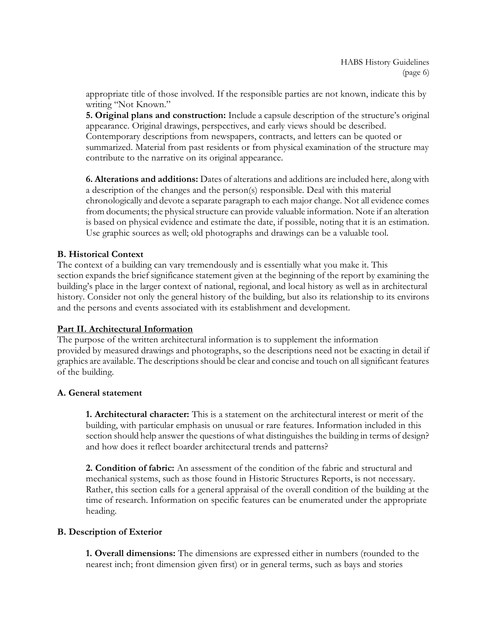appropriate title of those involved. If the responsible parties are not known, indicate this by writing "Not Known."

**5. Original plans and construction:** Include a capsule description of the structure"s original appearance. Original drawings, perspectives, and early views should be described. Contemporary descriptions from newspapers, contracts, and letters can be quoted or summarized. Material from past residents or from physical examination of the structure may contribute to the narrative on its original appearance.

**6. Alterations and additions:** Dates of alterations and additions are included here, along with a description of the changes and the person(s) responsible. Deal with this material chronologically and devote a separate paragraph to each major change. Not all evidence comes from documents; the physical structure can provide valuable information. Note if an alteration is based on physical evidence and estimate the date, if possible, noting that it is an estimation. Use graphic sources as well; old photographs and drawings can be a valuable tool.

# **B. Historical Context**

The context of a building can vary tremendously and is essentially what you make it. This section expands the brief significance statement given at the beginning of the report by examining the building"s place in the larger context of national, regional, and local history as well as in architectural history. Consider not only the general history of the building, but also its relationship to its environs and the persons and events associated with its establishment and development.

# **Part II. Architectural Information**

The purpose of the written architectural information is to supplement the information provided by measured drawings and photographs, so the descriptions need not be exacting in detail if graphics are available. The descriptions should be clear and concise and touch on all significant features of the building.

# **A. General statement**

**1. Architectural character:** This is a statement on the architectural interest or merit of the building, with particular emphasis on unusual or rare features. Information included in this section should help answer the questions of what distinguishes the building in terms of design? and how does it reflect boarder architectural trends and patterns?

**2. Condition of fabric:** An assessment of the condition of the fabric and structural and mechanical systems, such as those found in Historic Structures Reports, is not necessary. Rather, this section calls for a general appraisal of the overall condition of the building at the time of research. Information on specific features can be enumerated under the appropriate heading.

# **B. Description of Exterior**

**1. Overall dimensions:** The dimensions are expressed either in numbers (rounded to the nearest inch; front dimension given first) or in general terms, such as bays and stories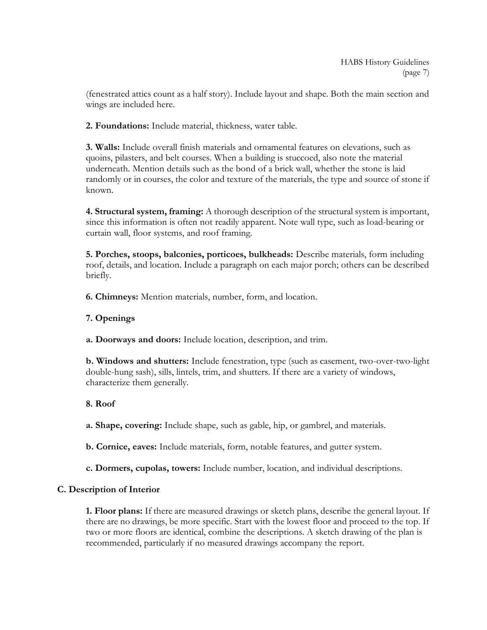(fenestrated attics count as a half story). Include layout and shape. Both the main section and wings are included here.

**2. Foundations:** Include material, thickness, water table.

**3. Walls:** Include overall finish materials and ornamental features on elevations, such as quoins, pilasters, and belt courses. When a building is stuccoed, also note the material underneath. Mention details such as the bond of a brick wall, whether the stone is laid randomly or in courses, the color and texture of the materials, the type and source of stone if known.

**4. Structural system, framing:** A thorough description of the structural system is important, since this information is often not readily apparent. Note wall type, such as load-bearing or curtain wall, floor systems, and roof framing.

**5. Porches, stoops, balconies, porticoes, bulkheads:** Describe materials, form including roof, details, and location. Include a paragraph on each major porch; others can be described briefly.

**6. Chimneys:** Mention materials, number, form, and location.

# **7. Openings**

**a. Doorways and doors:** Include location, description, and trim.

**b. Windows and shutters:** Include fenestration, type (such as casement, two-over-two-light double-hung sash), sills, lintels, trim, and shutters. If there are a variety of windows, characterize them generally.

# **8. Roof**

**a. Shape, covering:** Include shape, such as gable, hip, or gambrel, and materials.

**b. Cornice, eaves:** Include materials, form, notable features, and gutter system.

**c. Dormers, cupolas, towers:** Include number, location, and individual descriptions.

# **C. Description of Interior**

**1. Floor plans:** If there are measured drawings or sketch plans, describe the general layout. If there are no drawings, be more specific. Start with the lowest floor and proceed to the top. If two or more floors are identical, combine the descriptions. A sketch drawing of the plan is recommended, particularly if no measured drawings accompany the report.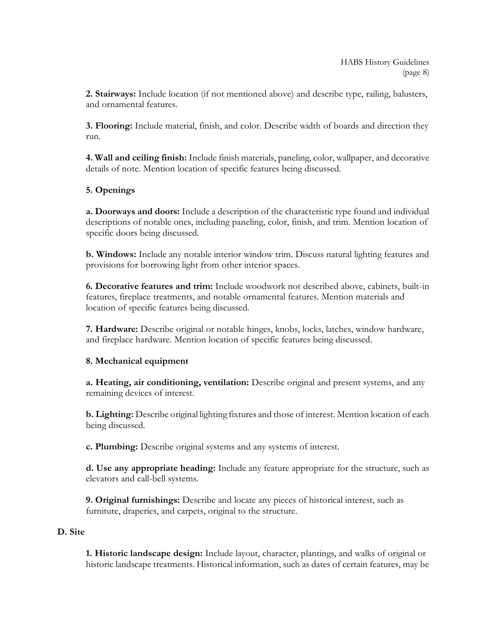**2. Stairways:** Include location (if not mentioned above) and describe type, railing, balusters, and ornamental features.

**3. Flooring:** Include material, finish, and color. Describe width of boards and direction they run.

**4. Wall and ceiling finish:** Include finish materials, paneling, color, wallpaper, and decorative details of note. Mention location of specific features being discussed.

# **5. Openings**

**a. Doorways and doors:** Include a description of the characteristic type found and individual descriptions of notable ones, including paneling, color, finish, and trim. Mention location of specific doors being discussed.

**b. Windows:** Include any notable interior window trim. Discuss natural lighting features and provisions for borrowing light from other interior spaces.

**6. Decorative features and trim:** Include woodwork not described above, cabinets, built-in features, fireplace treatments, and notable ornamental features. Mention materials and location of specific features being discussed.

**7. Hardware:** Describe original or notable hinges, knobs, locks, latches, window hardware, and fireplace hardware. Mention location of specific features being discussed.

# **8. Mechanical equipment**

**a. Heating, air conditioning, ventilation:** Describe original and present systems, and any remaining devices of interest.

**b. Lighting:** Describe original lighting fixtures and those of interest. Mention location of each being discussed.

**c. Plumbing:** Describe original systems and any systems of interest.

**d. Use any appropriate heading:** Include any feature appropriate for the structure, such as elevators and call-bell systems.

**9. Original furnishings:** Describe and locate any pieces of historical interest, such as furniture, draperies, and carpets, original to the structure.

# **D. Site**

**1. Historic landscape design:** Include layout, character, plantings, and walks of original or historic landscape treatments. Historical information, such as dates of certain features, may be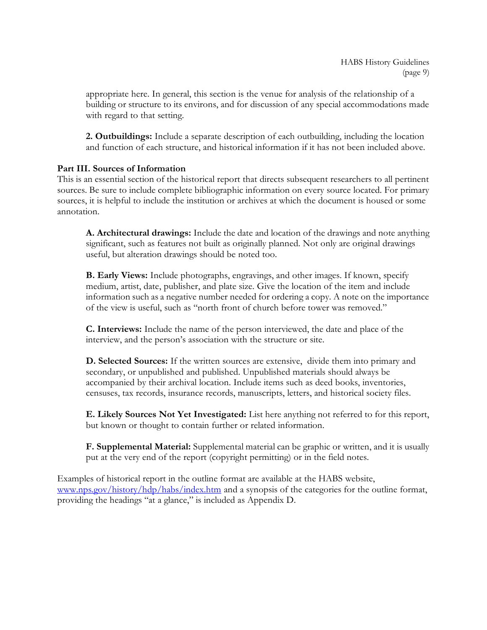appropriate here. In general, this section is the venue for analysis of the relationship of a building or structure to its environs, and for discussion of any special accommodations made with regard to that setting.

**2. Outbuildings:** Include a separate description of each outbuilding, including the location and function of each structure, and historical information if it has not been included above.

# **Part III. Sources of Information**

This is an essential section of the historical report that directs subsequent researchers to all pertinent sources. Be sure to include complete bibliographic information on every source located. For primary sources, it is helpful to include the institution or archives at which the document is housed or some annotation.

**A. Architectural drawings:** Include the date and location of the drawings and note anything significant, such as features not built as originally planned. Not only are original drawings useful, but alteration drawings should be noted too.

**B. Early Views:** Include photographs, engravings, and other images. If known, specify medium, artist, date, publisher, and plate size. Give the location of the item and include information such as a negative number needed for ordering a copy. A note on the importance of the view is useful, such as "north front of church before tower was removed."

**C. Interviews:** Include the name of the person interviewed, the date and place of the interview, and the person"s association with the structure or site.

**D. Selected Sources:** If the written sources are extensive, divide them into primary and secondary, or unpublished and published. Unpublished materials should always be accompanied by their archival location. Include items such as deed books, inventories, censuses, tax records, insurance records, manuscripts, letters, and historical society files.

**E. Likely Sources Not Yet Investigated:** List here anything not referred to for this report, but known or thought to contain further or related information.

**F. Supplemental Material:** Supplemental material can be graphic or written, and it is usually put at the very end of the report (copyright permitting) or in the field notes.

Examples of historical report in the outline format are available at the HABS website, [www.nps.gov/history/hdp/habs/index.htm](http://www.nps.gov/history/hdp/habs/index.htm) and a synopsis of the categories for the outline format, providing the headings "at a glance," is included as Appendix D.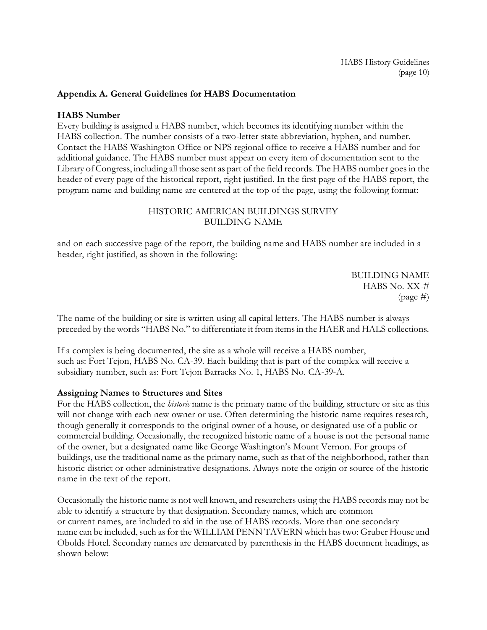# **Appendix A. General Guidelines for HABS Documentation**

### **HABS Number**

Every building is assigned a HABS number, which becomes its identifying number within the HABS collection. The number consists of a two-letter state abbreviation, hyphen, and number. Contact the HABS Washington Office or NPS regional office to receive a HABS number and for additional guidance. The HABS number must appear on every item of documentation sent to the Library of Congress, including all those sent as part of the field records. The HABS number goes in the header of every page of the historical report, right justified. In the first page of the HABS report, the program name and building name are centered at the top of the page, using the following format:

## HISTORIC AMERICAN BUILDINGS SURVEY BUILDING NAME

and on each successive page of the report, the building name and HABS number are included in a header, right justified, as shown in the following:

> BUILDING NAME HABS No. XX-# (page #)

The name of the building or site is written using all capital letters. The HABS number is always preceded by the words "HABS No." to differentiate it from items in the HAER and HALS collections.

If a complex is being documented, the site as a whole will receive a HABS number, such as: Fort Tejon, HABS No. CA-39. Each building that is part of the complex will receive a subsidiary number, such as: Fort Tejon Barracks No. 1, HABS No. CA-39-A.

### **Assigning Names to Structures and Sites**

For the HABS collection, the *historic* name is the primary name of the building, structure or site as this will not change with each new owner or use. Often determining the historic name requires research, though generally it corresponds to the original owner of a house, or designated use of a public or commercial building. Occasionally, the recognized historic name of a house is not the personal name of the owner, but a designated name like George Washington"s Mount Vernon. For groups of buildings, use the traditional name as the primary name, such as that of the neighborhood, rather than historic district or other administrative designations. Always note the origin or source of the historic name in the text of the report.

Occasionally the historic name is not well known, and researchers using the HABS records may not be able to identify a structure by that designation. Secondary names, which are common or current names, are included to aid in the use of HABS records. More than one secondary name can be included, such as for the WILLIAM PENN TAVERN which has two: Gruber House and Obolds Hotel. Secondary names are demarcated by parenthesis in the HABS document headings, as shown below: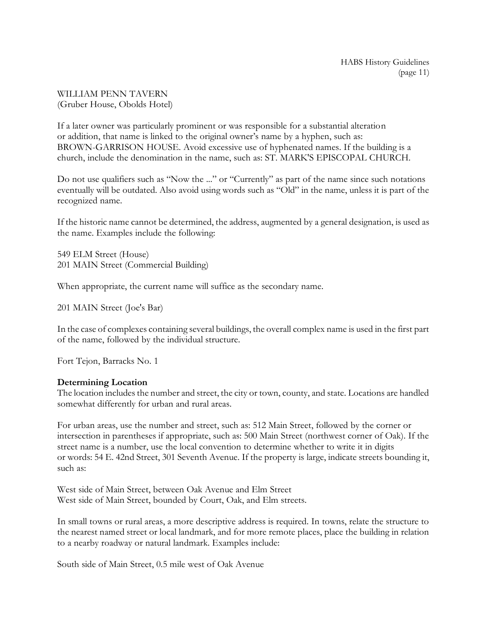## WILLIAM PENN TAVERN (Gruber House, Obolds Hotel)

If a later owner was particularly prominent or was responsible for a substantial alteration or addition, that name is linked to the original owner"s name by a hyphen, such as: BROWN-GARRISON HOUSE. Avoid excessive use of hyphenated names. If the building is a church, include the denomination in the name, such as: ST. MARK'S EPISCOPAL CHURCH.

Do not use qualifiers such as "Now the ..." or "Currently" as part of the name since such notations eventually will be outdated. Also avoid using words such as "Old" in the name, unless it is part of the recognized name.

If the historic name cannot be determined, the address, augmented by a general designation, is used as the name. Examples include the following:

549 ELM Street (House) 201 MAIN Street (Commercial Building)

When appropriate, the current name will suffice as the secondary name.

201 MAIN Street (Joe's Bar)

In the case of complexes containing several buildings, the overall complex name is used in the first part of the name, followed by the individual structure.

Fort Tejon, Barracks No. 1

# **Determining Location**

The location includes the number and street, the city or town, county, and state. Locations are handled somewhat differently for urban and rural areas.

For urban areas, use the number and street, such as: 512 Main Street, followed by the corner or intersection in parentheses if appropriate, such as: 500 Main Street (northwest corner of Oak). If the street name is a number, use the local convention to determine whether to write it in digits or words: 54 E. 42nd Street, 301 Seventh Avenue. If the property is large, indicate streets bounding it, such as:

West side of Main Street, between Oak Avenue and Elm Street West side of Main Street, bounded by Court, Oak, and Elm streets.

In small towns or rural areas, a more descriptive address is required. In towns, relate the structure to the nearest named street or local landmark, and for more remote places, place the building in relation to a nearby roadway or natural landmark. Examples include:

South side of Main Street, 0.5 mile west of Oak Avenue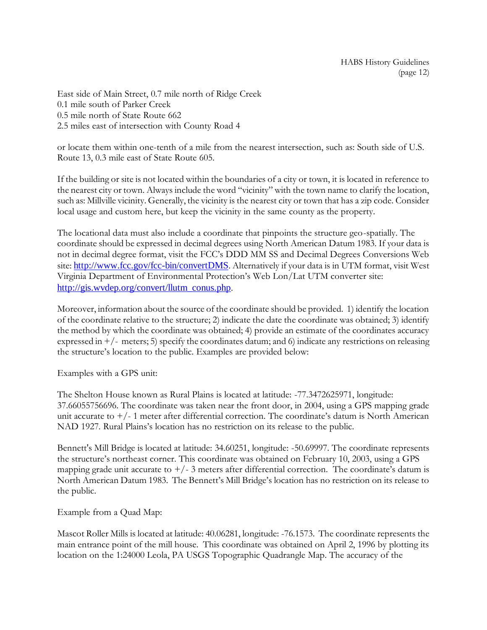East side of Main Street, 0.7 mile north of Ridge Creek 0.1 mile south of Parker Creek 0.5 mile north of State Route 662 2.5 miles east of intersection with County Road 4

or locate them within one-tenth of a mile from the nearest intersection, such as: South side of U.S. Route 13, 0.3 mile east of State Route 605.

If the building or site is not located within the boundaries of a city or town, it is located in reference to the nearest city or town. Always include the word "vicinity" with the town name to clarify the location, such as: Millville vicinity. Generally, the vicinity is the nearest city or town that has a zip code. Consider local usage and custom here, but keep the vicinity in the same county as the property.

The locational data must also include a coordinate that pinpoints the structure geo-spatially. The coordinate should be expressed in decimal degrees using North American Datum 1983. If your data is not in decimal degree format, visit the FCC"s DDD MM SS and Decimal Degrees Conversions Web site: <http://www.fcc.gov/fcc-bin/convertDMS>. Alternatively if your data is in UTM format, visit West Virginia Department of Environmental Protection"s Web Lon/Lat UTM converter site: [http://gis.wvdep.org/convert/llutm\\_conus.php](http://gis.wvdep.org/convert/llutm_conus.php).

Moreover, information about the source of the coordinate should be provided. 1) identify the location of the coordinate relative to the structure; 2) indicate the date the coordinate was obtained; 3) identify the method by which the coordinate was obtained; 4) provide an estimate of the coordinates accuracy expressed in +/- meters; 5) specify the coordinates datum; and 6) indicate any restrictions on releasing the structure"s location to the public. Examples are provided below:

Examples with a GPS unit:

The Shelton House known as Rural Plains is located at latitude: -77.3472625971, longitude: 37.66055756696. The coordinate was taken near the front door, in 2004, using a GPS mapping grade unit accurate to  $+/-1$  meter after differential correction. The coordinate's datum is North American NAD 1927. Rural Plains"s location has no restriction on its release to the public.

Bennett's Mill Bridge is located at latitude: 34.60251, longitude: -50.69997. The coordinate represents the structure's northeast corner. This coordinate was obtained on February 10, 2003, using a GPS mapping grade unit accurate to  $+/-3$  meters after differential correction. The coordinate's datum is North American Datum 1983. The Bennett's Mill Bridge's location has no restriction on its release to the public.

Example from a Quad Map:

Mascot Roller Mills is located at latitude: 40.06281, longitude: -76.1573. The coordinate represents the main entrance point of the mill house. This coordinate was obtained on April 2, 1996 by plotting its location on the 1:24000 Leola, PA USGS Topographic Quadrangle Map. The accuracy of the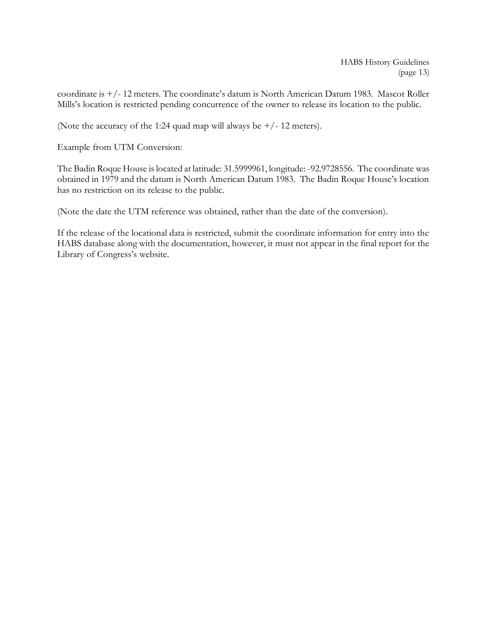HABS History Guidelines (page 13)

coordinate is  $+/- 12$  meters. The coordinate's datum is North American Datum 1983. Mascot Roller Mills"s location is restricted pending concurrence of the owner to release its location to the public.

(Note the accuracy of the 1:24 quad map will always be  $+/- 12$  meters).

Example from UTM Conversion:

The Badin Roque House is located at latitude: 31.5999961, longitude: -92.9728556. The coordinate was obtained in 1979 and the datum is North American Datum 1983. The Badin Roque House's location has no restriction on its release to the public.

(Note the date the UTM reference was obtained, rather than the date of the conversion).

If the release of the locational data is restricted, submit the coordinate information for entry into the HABS database along with the documentation, however, it must not appear in the final report for the Library of Congress's website.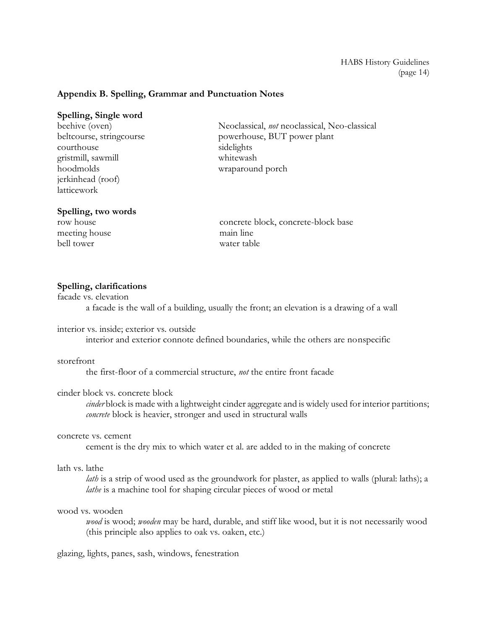## **Appendix B. Spelling, Grammar and Punctuation Notes**

#### **Spelling, Single word**

beehive (oven) beltcourse, stringcourse courthouse gristmill, sawmill hoodmolds jerkinhead (roof) latticework

# Neoclassical, *not* neoclassical, Neo-classical powerhouse, BUT power plant sidelights whitewash wraparound porch

#### **Spelling, two words**

row house meeting house bell tower

concrete block, concrete-block base main line water table

### **Spelling, clarifications**

facade vs. elevation

a facade is the wall of a building, usually the front; an elevation is a drawing of a wall

interior vs. inside; exterior vs. outside

interior and exterior connote defined boundaries, while the others are nonspecific

## storefront

the first-floor of a commercial structure, *not* the entire front facade

### cinder block vs. concrete block

*cinder* block is made with a lightweight cinder aggregate and is widely used for interior partitions; *concrete* block is heavier, stronger and used in structural walls

#### concrete vs. cement

cement is the dry mix to which water et al. are added to in the making of concrete

### lath vs. lathe

*lath* is a strip of wood used as the groundwork for plaster, as applied to walls (plural: laths); a *lathe* is a machine tool for shaping circular pieces of wood or metal

#### wood vs. wooden

*wood* is wood; *wooden* may be hard, durable, and stiff like wood, but it is not necessarily wood (this principle also applies to oak vs. oaken, etc.)

glazing, lights, panes, sash, windows, fenestration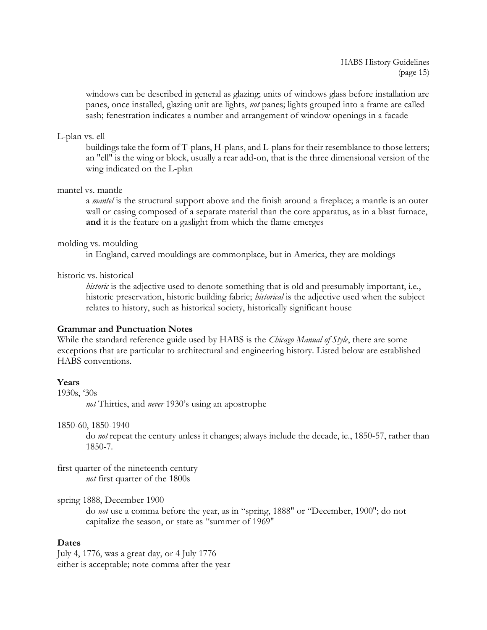windows can be described in general as glazing; units of windows glass before installation are panes, once installed, glazing unit are lights, *not* panes; lights grouped into a frame are called sash; fenestration indicates a number and arrangement of window openings in a facade

#### L-plan vs. ell

buildings take the form of T-plans, H-plans, and L-plans for their resemblance to those letters; an "ell" is the wing or block, usually a rear add-on, that is the three dimensional version of the wing indicated on the L-plan

#### mantel vs. mantle

a *mantel* is the structural support above and the finish around a fireplace; a mantle is an outer wall or casing composed of a separate material than the core apparatus, as in a blast furnace, **and** it is the feature on a gaslight from which the flame emerges

#### molding vs. moulding

in England, carved mouldings are commonplace, but in America, they are moldings

### historic vs. historical

*historic* is the adjective used to denote something that is old and presumably important, i.e., historic preservation, historic building fabric; *historical* is the adjective used when the subject relates to history, such as historical society, historically significant house

### **Grammar and Punctuation Notes**

While the standard reference guide used by HABS is the *Chicago Manual of Style*, there are some exceptions that are particular to architectural and engineering history. Listed below are established HABS conventions.

### **Years**

1930s, "30s

*not* Thirties, and *never* 1930"s using an apostrophe

1850-60, 1850-1940

do *not* repeat the century unless it changes; always include the decade, ie., 1850-57, rather than 1850-7.

first quarter of the nineteenth century *not* first quarter of the 1800s

### spring 1888, December 1900

do *not* use a comma before the year, as in "spring, 1888" or "December, 1900"; do not capitalize the season, or state as "summer of 1969"

# **Dates**

July 4, 1776, was a great day, or 4 July 1776 either is acceptable; note comma after the year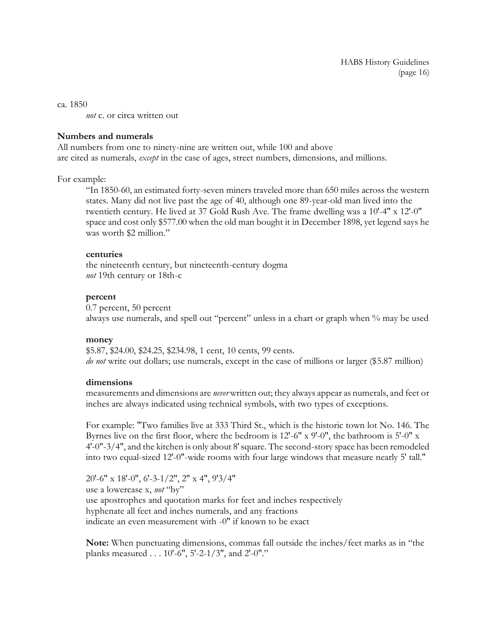ca. 1850 *not* c. or circa written out

## **Numbers and numerals**

All numbers from one to ninety-nine are written out, while 100 and above are cited as numerals, *except* in the case of ages, street numbers, dimensions, and millions.

## For example:

"In 1850-60, an estimated forty-seven miners traveled more than 650 miles across the western states. Many did not live past the age of 40, although one 89-year-old man lived into the twentieth century. He lived at 37 Gold Rush Ave. The frame dwelling was a 10'-4" x 12'-0" space and cost only \$577.00 when the old man bought it in December 1898, yet legend says he was worth \$2 million."

## **centuries**

the nineteenth century, but nineteenth-century dogma *not* 19th century or 18th-c

## **percent**

0.7 percent, 50 percent always use numerals, and spell out "percent" unless in a chart or graph when % may be used

### **money**

\$5.87, \$24.00, \$24.25, \$234.98, 1 cent, 10 cents, 99 cents. *do not* write out dollars; use numerals, except in the case of millions or larger (\$5.87 million)

# **dimensions**

measurements and dimensions are *never* written out; they always appear as numerals, and feet or inches are always indicated using technical symbols, with two types of exceptions.

For example: "Two families live at 333 Third St., which is the historic town lot No. 146. The Byrnes live on the first floor, where the bedroom is 12'-6" x 9'-0", the bathroom is 5'-0" x 4'-0"-3/4", and the kitchen is only about 8' square. The second-story space has been remodeled into two equal-sized 12'-0"-wide rooms with four large windows that measure nearly 5' tall."

20'-6" x 18'-0", 6'-3-1/2", 2" x 4", 9'3/4" use a lowercase x, *not* "by" use apostrophes and quotation marks for feet and inches respectively hyphenate all feet and inches numerals, and any fractions indicate an even measurement with -0" if known to be exact

**Note:** When punctuating dimensions, commas fall outside the inches/feet marks as in "the planks measured . . . 10'-6", 5'-2-1/3", and 2'-0"."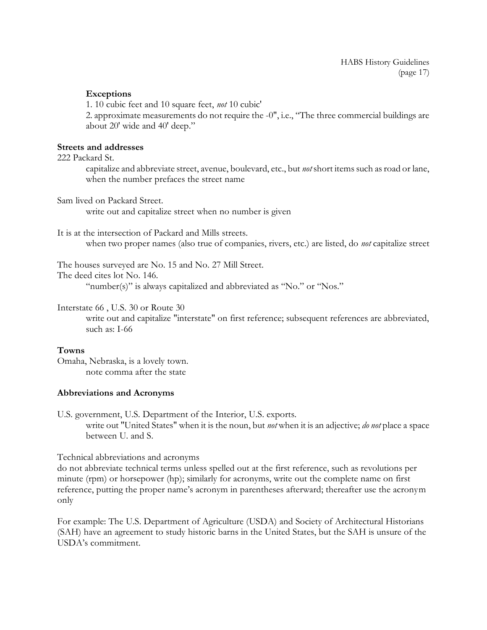## **Exceptions**

1. 10 cubic feet and 10 square feet, *not* 10 cubic'

2. approximate measurements do not require the -0", i.e., "The three commercial buildings are about 20' wide and 40' deep."

### **Streets and addresses**

222 Packard St.

capitalize and abbreviate street, avenue, boulevard, etc., but *not* short items such as road or lane, when the number prefaces the street name

Sam lived on Packard Street.

write out and capitalize street when no number is given

It is at the intersection of Packard and Mills streets.

when two proper names (also true of companies, rivers, etc.) are listed, do *not* capitalize street

The houses surveyed are No. 15 and No. 27 Mill Street.

The deed cites lot No. 146.

"number(s)" is always capitalized and abbreviated as "No." or "Nos."

Interstate 66 , U.S. 30 or Route 30

write out and capitalize "interstate" on first reference; subsequent references are abbreviated, such as: I-66

### **Towns**

Omaha, Nebraska, is a lovely town. note comma after the state

### **Abbreviations and Acronyms**

U.S. government, U.S. Department of the Interior, U.S. exports. write out "United States" when it is the noun, but *not* when it is an adjective; *do not* place a space between U. and S.

Technical abbreviations and acronyms

do not abbreviate technical terms unless spelled out at the first reference, such as revolutions per minute (rpm) or horsepower (hp); similarly for acronyms, write out the complete name on first reference, putting the proper name"s acronym in parentheses afterward; thereafter use the acronym only

For example: The U.S. Department of Agriculture (USDA) and Society of Architectural Historians (SAH) have an agreement to study historic barns in the United States, but the SAH is unsure of the USDA"s commitment.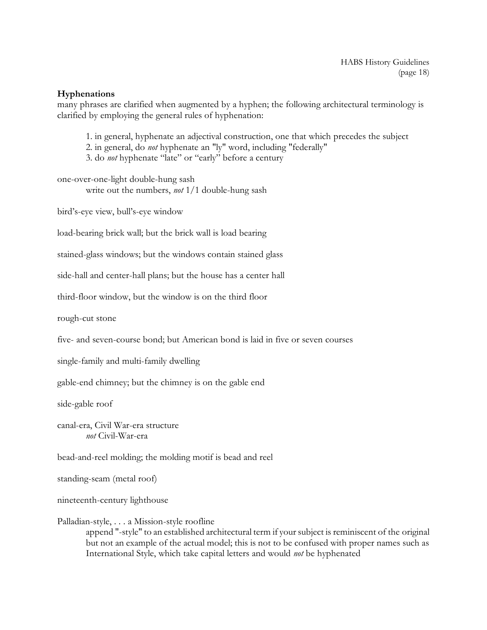### **Hyphenations**

many phrases are clarified when augmented by a hyphen; the following architectural terminology is clarified by employing the general rules of hyphenation:

- 1. in general, hyphenate an adjectival construction, one that which precedes the subject
- 2. in general, do *not* hyphenate an "ly" word, including "federally"
- 3. do *not* hyphenate "late" or "early" before a century

one-over-one-light double-hung sash write out the numbers, *not* 1/1 double-hung sash

bird"s-eye view, bull"s-eye window

load-bearing brick wall; but the brick wall is load bearing

stained-glass windows; but the windows contain stained glass

side-hall and center-hall plans; but the house has a center hall

third-floor window, but the window is on the third floor

rough-cut stone

five- and seven-course bond; but American bond is laid in five or seven courses

single-family and multi-family dwelling

gable-end chimney; but the chimney is on the gable end

side-gable roof

canal-era, Civil War-era structure *not* Civil-War-era

bead-and-reel molding; the molding motif is bead and reel

standing-seam (metal roof)

nineteenth-century lighthouse

#### Palladian-style, . . . a Mission-style roofline

append "-style" to an established architectural term if your subject is reminiscent of the original but not an example of the actual model; this is not to be confused with proper names such as International Style, which take capital letters and would *not* be hyphenated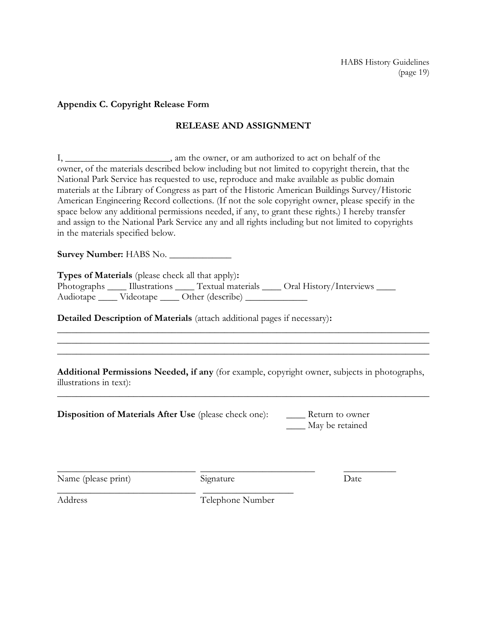### **Appendix C. Copyright Release Form**

## **RELEASE AND ASSIGNMENT**

I, \_\_\_\_\_\_\_\_\_\_\_\_\_\_\_\_\_\_\_\_, am the owner, or am authorized to act on behalf of the owner, of the materials described below including but not limited to copyright therein, that the National Park Service has requested to use, reproduce and make available as public domain materials at the Library of Congress as part of the Historic American Buildings Survey/Historic American Engineering Record collections. (If not the sole copyright owner, please specify in the space below any additional permissions needed, if any, to grant these rights.) I hereby transfer and assign to the National Park Service any and all rights including but not limited to copyrights in the materials specified below.

**Survey Number:** HABS No. \_\_\_\_\_\_\_\_\_\_\_\_\_

**Types of Materials** (please check all that apply)**:**

Photographs \_\_\_\_\_ Illustrations \_\_\_\_\_ Textual materials \_\_\_\_\_ Oral History/Interviews \_\_\_\_\_ Audiotape \_\_\_\_\_ Videotape \_\_\_\_\_ Other (describe) \_\_\_\_\_\_\_\_\_\_\_\_\_\_

**Detailed Description of Materials** (attach additional pages if necessary)**:**

**Additional Permissions Needed, if any** (for example, copyright owner, subjects in photographs, illustrations in text):

\_\_\_\_\_\_\_\_\_\_\_\_\_\_\_\_\_\_\_\_\_\_\_\_\_\_\_\_\_\_\_\_\_\_\_\_\_\_\_\_\_\_\_\_\_\_\_\_\_\_\_\_\_\_\_\_\_\_\_\_\_\_\_\_\_\_\_\_\_\_\_\_\_\_\_\_\_\_

\_\_\_\_\_\_\_\_\_\_\_\_\_\_\_\_\_\_\_\_\_\_\_\_\_\_\_\_\_\_\_\_\_\_\_\_\_\_\_\_\_\_\_\_\_\_\_\_\_\_\_\_\_\_\_\_\_\_\_\_\_\_\_\_\_\_\_\_\_\_\_\_\_\_\_\_\_\_ \_\_\_\_\_\_\_\_\_\_\_\_\_\_\_\_\_\_\_\_\_\_\_\_\_\_\_\_\_\_\_\_\_\_\_\_\_\_\_\_\_\_\_\_\_\_\_\_\_\_\_\_\_\_\_\_\_\_\_\_\_\_\_\_\_\_\_\_\_\_\_\_\_\_\_\_\_\_ \_\_\_\_\_\_\_\_\_\_\_\_\_\_\_\_\_\_\_\_\_\_\_\_\_\_\_\_\_\_\_\_\_\_\_\_\_\_\_\_\_\_\_\_\_\_\_\_\_\_\_\_\_\_\_\_\_\_\_\_\_\_\_\_\_\_\_\_\_\_\_\_\_\_\_\_\_\_

**Disposition of Materials After Use** (please check one): \_\_\_\_\_\_ Return to owner

\_\_\_\_\_\_\_\_\_\_\_\_\_\_\_\_\_\_\_\_\_\_\_\_\_\_\_\_\_ \_\_\_\_\_\_\_\_\_\_\_\_\_\_\_\_\_\_\_

\_\_\_\_ May be retained

Name (please print) Signature Date

\_\_\_\_\_\_\_\_\_\_\_\_\_\_\_\_\_\_\_\_\_\_\_\_\_\_\_\_\_ \_\_\_\_\_\_\_\_\_\_\_\_\_\_\_\_\_\_\_\_\_\_\_\_ \_\_\_\_\_\_\_\_\_\_\_

Address Telephone Number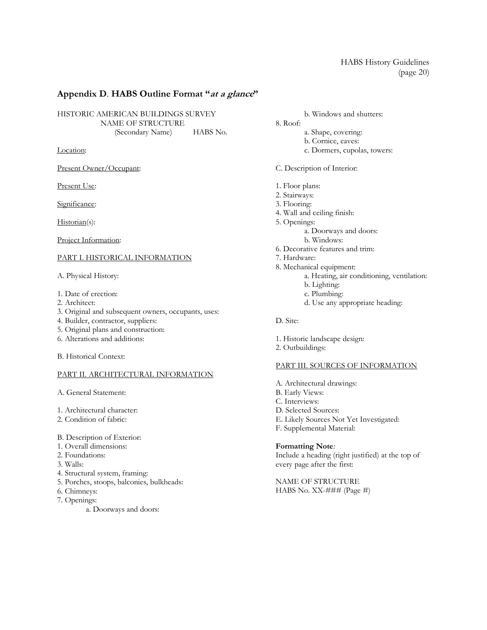# **Appendix D**. **HABS Outline Format "at a glance"**

HISTORIC AMERICAN BUILDINGS SURVEY NAME OF STRUCTURE (Secondary Name) HABS No.

Location:

Present Owner/Occupant:

Present Use:

Significance:

Historian(s):

Project Information:

#### PART I. HISTORICAL INFORMATION

A. Physical History:

- 1. Date of erection:
- 2. Architect:
- 3. Original and subsequent owners, occupants, uses:
- 4. Builder, contractor, suppliers:
- 5. Original plans and construction:
- 6. Alterations and additions:

B. Historical Context:

#### PART II. ARCHITECTURAL INFORMATION

A. General Statement:

1. Architectural character:

- 2. Condition of fabric:
- B. Description of Exterior:
- 1. Overall dimensions:
- 2. Foundations:
- 3. Walls:
- 4. Structural system, framing:
- 5. Porches, stoops, balconies, bulkheads:
- 6. Chimneys:
- 7. Openings:
	- a. Doorways and doors:

b. Windows and shutters:

## 8. Roof:

- a. Shape, covering:
- b. Cornice, eaves:
- c. Dormers, cupolas, towers:

C. Description of Interior:

- 1. Floor plans:
- 2. Stairways:
- 3. Flooring:
- 4. Wall and ceiling finish:
- 5. Openings: a. Doorways and doors: b. Windows: 6. Decorative features and trim:
	-
- 7. Hardware:
- 8. Mechanical equipment:
	- a. Heating, air conditioning, ventilation:
	- b. Lighting:
	- c. Plumbing:
	- d. Use any appropriate heading:

D. Site:

- 1. Historic landscape design:
- 2. Outbuildings:

#### PART III. SOURCES OF INFORMATION

A. Architectural drawings: B. Early Views: C. Interviews: D. Selected Sources: E. Likely Sources Not Yet Investigated: F. Supplemental Material:

**Formatting Note***:*  Include a heading (right justified) at the top of every page after the first:

NAME OF STRUCTURE HABS No. XX-### (Page #)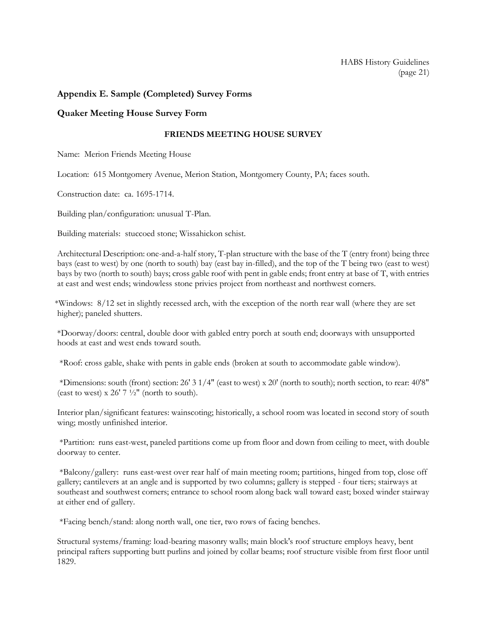# **Appendix E. Sample (Completed) Survey Forms**

## **Quaker Meeting House Survey Form**

### **FRIENDS MEETING HOUSE SURVEY**

Name: Merion Friends Meeting House

Location: 615 Montgomery Avenue, Merion Station, Montgomery County, PA; faces south.

Construction date: ca. 1695-1714.

Building plan/configuration: unusual T-Plan.

Building materials: stuccoed stone; Wissahickon schist.

Architectural Description: one-and-a-half story, T-plan structure with the base of the T (entry front) being three bays (east to west) by one (north to south) bay (east bay in-filled), and the top of the T being two (east to west) bays by two (north to south) bays; cross gable roof with pent in gable ends; front entry at base of T, with entries at east and west ends; windowless stone privies project from northeast and northwest corners.

\*Windows: 8/12 set in slightly recessed arch, with the exception of the north rear wall (where they are set higher); paneled shutters.

\*Doorway/doors: central, double door with gabled entry porch at south end; doorways with unsupported hoods at east and west ends toward south.

\*Roof: cross gable, shake with pents in gable ends (broken at south to accommodate gable window).

\*Dimensions: south (front) section: 26' 3 1/4" (east to west) x 20' (north to south); north section, to rear: 40'8" (east to west)  $x 26' 7 \frac{1}{2}$ " (north to south).

Interior plan/significant features: wainscoting; historically, a school room was located in second story of south wing; mostly unfinished interior.

\*Partition: runs east-west, paneled partitions come up from floor and down from ceiling to meet, with double doorway to center.

\*Balcony/gallery: runs east-west over rear half of main meeting room; partitions, hinged from top, close off gallery; cantilevers at an angle and is supported by two columns; gallery is stepped - four tiers; stairways at southeast and southwest corners; entrance to school room along back wall toward east; boxed winder stairway at either end of gallery.

\*Facing bench/stand: along north wall, one tier, two rows of facing benches.

Structural systems/framing: load-bearing masonry walls; main block's roof structure employs heavy, bent principal rafters supporting butt purlins and joined by collar beams; roof structure visible from first floor until 1829.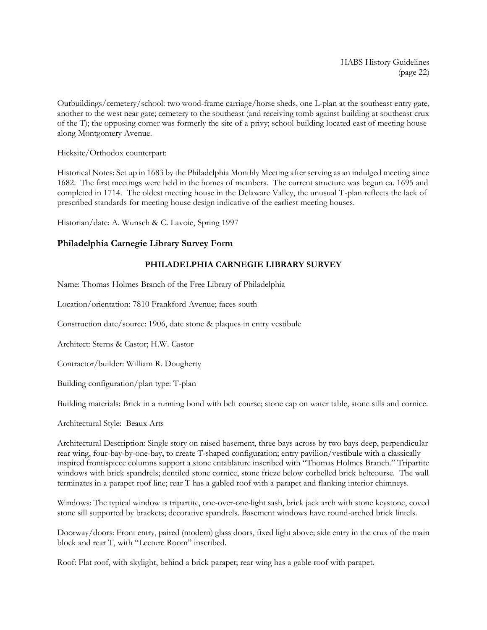HABS History Guidelines (page 22)

Outbuildings/cemetery/school: two wood-frame carriage/horse sheds, one L-plan at the southeast entry gate, another to the west near gate; cemetery to the southeast (and receiving tomb against building at southeast crux of the T); the opposing corner was formerly the site of a privy; school building located east of meeting house along Montgomery Avenue.

Hicksite/Orthodox counterpart:

Historical Notes: Set up in 1683 by the Philadelphia Monthly Meeting after serving as an indulged meeting since 1682. The first meetings were held in the homes of members. The current structure was begun ca. 1695 and completed in 1714. The oldest meeting house in the Delaware Valley, the unusual T-plan reflects the lack of prescribed standards for meeting house design indicative of the earliest meeting houses.

Historian/date: A. Wunsch & C. Lavoie, Spring 1997

### **Philadelphia Carnegie Library Survey Form**

#### **PHILADELPHIA CARNEGIE LIBRARY SURVEY**

Name: Thomas Holmes Branch of the Free Library of Philadelphia

Location/orientation: 7810 Frankford Avenue; faces south

Construction date/source: 1906, date stone & plaques in entry vestibule

Architect: Sterns & Castor; H.W. Castor

Contractor/builder: William R. Dougherty

Building configuration/plan type: T-plan

Building materials: Brick in a running bond with belt course; stone cap on water table, stone sills and cornice.

Architectural Style: Beaux Arts

Architectural Description: Single story on raised basement, three bays across by two bays deep, perpendicular rear wing, four-bay-by-one-bay, to create T-shaped configuration; entry pavilion/vestibule with a classically inspired frontispiece columns support a stone entablature inscribed with "Thomas Holmes Branch." Tripartite windows with brick spandrels; dentiled stone cornice, stone frieze below corbelled brick beltcourse. The wall terminates in a parapet roof line; rear T has a gabled roof with a parapet and flanking interior chimneys.

Windows: The typical window is tripartite, one-over-one-light sash, brick jack arch with stone keystone, coved stone sill supported by brackets; decorative spandrels. Basement windows have round-arched brick lintels.

Doorway/doors: Front entry, paired (modern) glass doors, fixed light above; side entry in the crux of the main block and rear T, with "Lecture Room" inscribed.

Roof: Flat roof, with skylight, behind a brick parapet; rear wing has a gable roof with parapet.